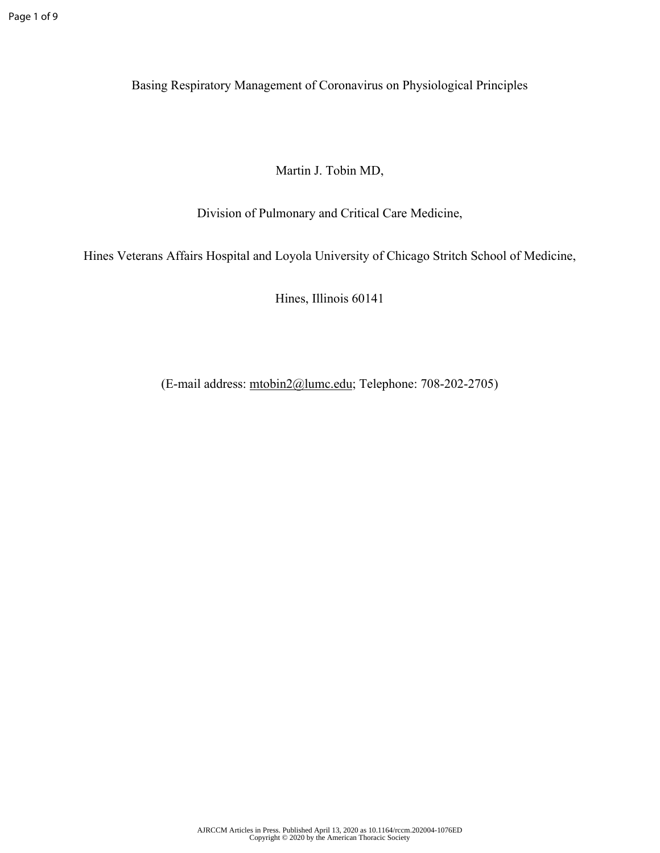Basing Respiratory Management of Coronavirus on Physiological Principles

Martin J. Tobin MD,

Division of Pulmonary and Critical Care Medicine,

Hines Veterans Affairs Hospital and Loyola University of Chicago Stritch School of Medicine,

Hines, Illinois 60141

(E-mail address: [mtobin2@lumc.edu](mailto:mtobin2@lumc.edu); Telephone: 708-202-2705)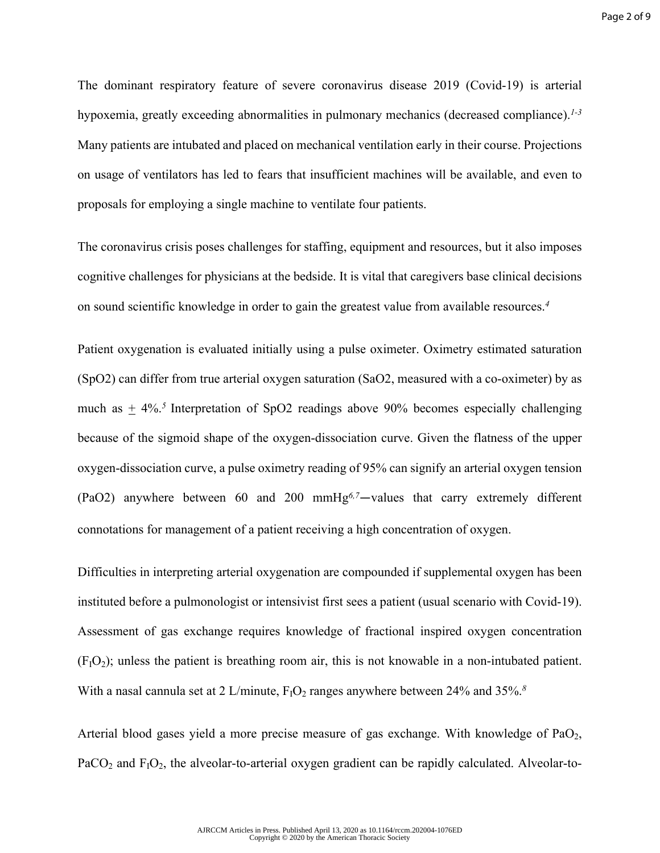The dominant respiratory feature of severe coronavirus disease 2019 (Covid-19) is arterial hypoxemia, greatly exceeding abnormalities in pulmonary mechanics (decreased compliance).*1-3* Many patients are intubated and placed on mechanical ventilation early in their course. Projections on usage of ventilators has led to fears that insufficient machines will be available, and even to proposals for employing a single machine to ventilate four patients.

The coronavirus crisis poses challenges for staffing, equipment and resources, but it also imposes cognitive challenges for physicians at the bedside. It is vital that caregivers base clinical decisions on sound scientific knowledge in order to gain the greatest value from available resources.*<sup>4</sup>*

Patient oxygenation is evaluated initially using a pulse oximeter. Oximetry estimated saturation (SpO2) can differ from true arterial oxygen saturation (SaO2, measured with a co-oximeter) by as much as  $\pm$  4%.<sup>5</sup> Interpretation of SpO2 readings above 90% becomes especially challenging because of the sigmoid shape of the oxygen-dissociation curve. Given the flatness of the upper oxygen-dissociation curve, a pulse oximetry reading of 95% can signify an arterial oxygen tension (PaO2) anywhere between 60 and 200 mmHg*6,7*—values that carry extremely different connotations for management of a patient receiving a high concentration of oxygen.

Difficulties in interpreting arterial oxygenation are compounded if supplemental oxygen has been instituted before a pulmonologist or intensivist first sees a patient (usual scenario with Covid-19). Assessment of gas exchange requires knowledge of fractional inspired oxygen concentration  $(F<sub>1</sub>O<sub>2</sub>)$ ; unless the patient is breathing room air, this is not knowable in a non-intubated patient. With a nasal cannula set at 2 L/minute,  $F_1O_2$  ranges anywhere between 24% and 35%.<sup>8</sup>

Arterial blood gases yield a more precise measure of gas exchange. With knowledge of  $PaO<sub>2</sub>$ ,  $PaCO<sub>2</sub>$  and  $F<sub>1</sub>O<sub>2</sub>$ , the alveolar-to-arterial oxygen gradient can be rapidly calculated. Alveolar-to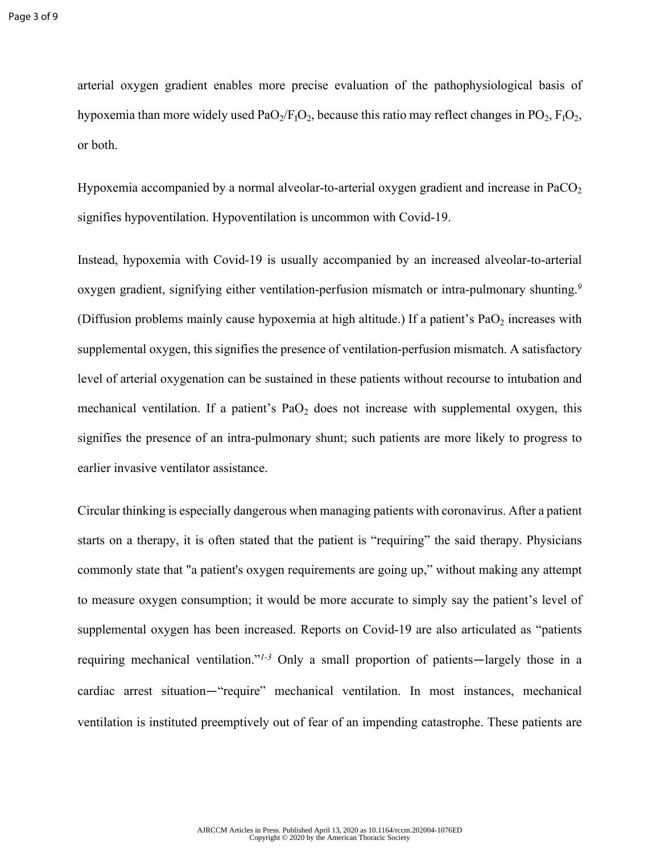arterial oxygen gradient enables more precise evaluation of the pathophysiological basis of hypoxemia than more widely used  $PaO<sub>2</sub>/F<sub>1</sub>O<sub>2</sub>$ , because this ratio may reflect changes in PO<sub>2</sub>,  $F<sub>1</sub>O<sub>2</sub>$ , or both.

Hypoxemia accompanied by a normal alveolar-to-arterial oxygen gradient and increase in PaCO<sub>2</sub> signifies hypoventilation. Hypoventilation is uncommon with Covid-19.

Instead, hypoxemia with Covid-19 is usually accompanied by an increased alveolar-to-arterial oxygen gradient, signifying either ventilation-perfusion mismatch or intra-pulmonary shunting.*<sup>9</sup>* (Diffusion problems mainly cause hypoxemia at high altitude.) If a patient's  $PaO<sub>2</sub>$  increases with supplemental oxygen, this signifies the presence of ventilation-perfusion mismatch. A satisfactory level of arterial oxygenation can be sustained in these patients without recourse to intubation and mechanical ventilation. If a patient's  $PaO<sub>2</sub>$  does not increase with supplemental oxygen, this signifies the presence of an intra-pulmonary shunt; such patients are more likely to progress to earlier invasive ventilator assistance.

Circular thinking is especially dangerous when managing patients with coronavirus. After a patient starts on a therapy, it is often stated that the patient is "requiring" the said therapy. Physicians commonly state that "a patient's oxygen requirements are going up," without making any attempt to measure oxygen consumption; it would be more accurate to simply say the patient's level of supplemental oxygen has been increased. Reports on Covid-19 are also articulated as "patients requiring mechanical ventilation."*1-3* Only a small proportion of patients—largely those in a cardiac arrest situation—"require" mechanical ventilation. In most instances, mechanical ventilation is instituted preemptively out of fear of an impending catastrophe. These patients are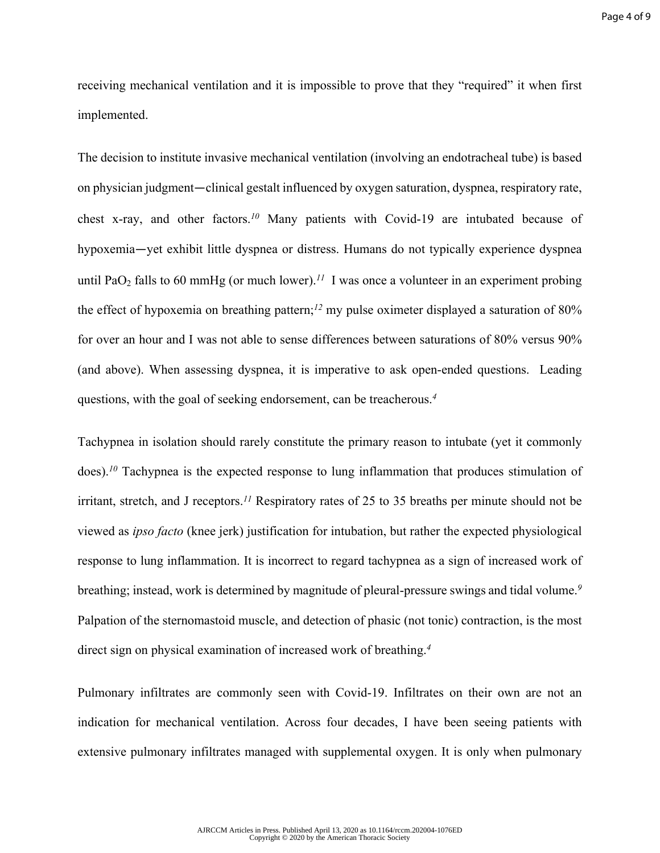receiving mechanical ventilation and it is impossible to prove that they "required" it when first implemented.

The decision to institute invasive mechanical ventilation (involving an endotracheal tube) is based on physician judgment—clinical gestalt influenced by oxygen saturation, dyspnea, respiratory rate, chest x-ray, and other factors.*<sup>10</sup>* Many patients with Covid-19 are intubated because of hypoxemia—yet exhibit little dyspnea or distress. Humans do not typically experience dyspnea until PaO<sub>2</sub> falls to 60 mmHg (or much lower).<sup>11</sup> I was once a volunteer in an experiment probing the effect of hypoxemia on breathing pattern;*<sup>12</sup>* my pulse oximeter displayed a saturation of 80% for over an hour and I was not able to sense differences between saturations of 80% versus 90% (and above). When assessing dyspnea, it is imperative to ask open-ended questions. Leading questions, with the goal of seeking endorsement, can be treacherous.*<sup>4</sup>*

Tachypnea in isolation should rarely constitute the primary reason to intubate (yet it commonly does).<sup>10</sup> Tachypnea is the expected response to lung inflammation that produces stimulation of irritant, stretch, and J receptors.*<sup>11</sup>* Respiratory rates of 25 to 35 breaths per minute should not be viewed as *ipso facto* (knee jerk) justification for intubation, but rather the expected physiological response to lung inflammation. It is incorrect to regard tachypnea as a sign of increased work of breathing; instead, work is determined by magnitude of pleural-pressure swings and tidal volume.*<sup>9</sup>* Palpation of the sternomastoid muscle, and detection of phasic (not tonic) contraction, is the most direct sign on physical examination of increased work of breathing.*<sup>4</sup>*

Pulmonary infiltrates are commonly seen with Covid-19. Infiltrates on their own are not an indication for mechanical ventilation. Across four decades, I have been seeing patients with extensive pulmonary infiltrates managed with supplemental oxygen. It is only when pulmonary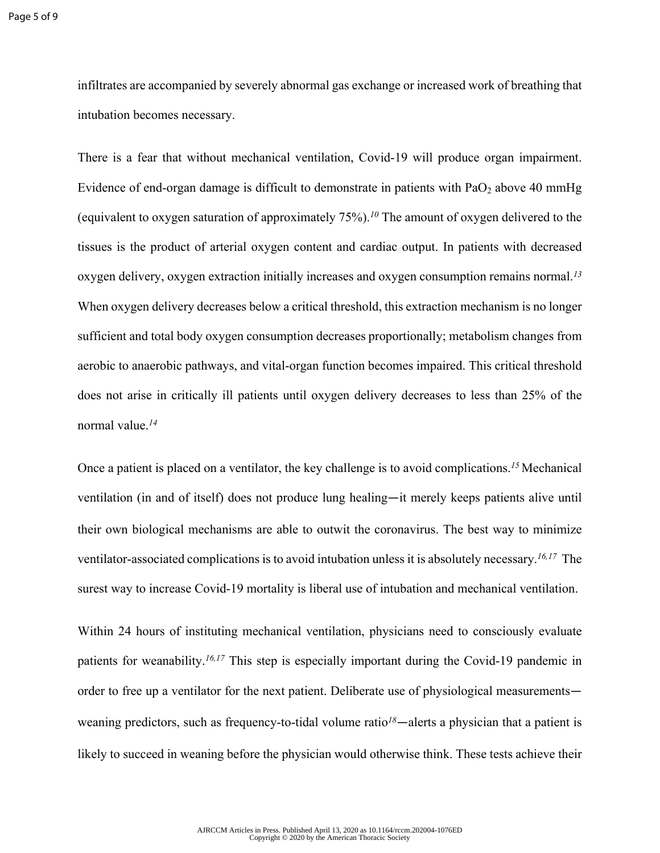infiltrates are accompanied by severely abnormal gas exchange or increased work of breathing that intubation becomes necessary.

There is a fear that without mechanical ventilation, Covid-19 will produce organ impairment. Evidence of end-organ damage is difficult to demonstrate in patients with  $PaO<sub>2</sub>$  above 40 mmHg (equivalent to oxygen saturation of approximately 75%).*<sup>10</sup>* The amount of oxygen delivered to the tissues is the product of arterial oxygen content and cardiac output. In patients with decreased oxygen delivery, oxygen extraction initially increases and oxygen consumption remains normal.*<sup>13</sup>* When oxygen delivery decreases below a critical threshold, this extraction mechanism is no longer sufficient and total body oxygen consumption decreases proportionally; metabolism changes from aerobic to anaerobic pathways, and vital-organ function becomes impaired. This critical threshold does not arise in critically ill patients until oxygen delivery decreases to less than 25% of the normal value.*<sup>14</sup>*

Once a patient is placed on a ventilator, the key challenge is to avoid complications.<sup>15</sup> Mechanical ventilation (in and of itself) does not produce lung healing—it merely keeps patients alive until their own biological mechanisms are able to outwit the coronavirus. The best way to minimize ventilator-associated complications is to avoid intubation unless it is absolutely necessary.*16,17* The surest way to increase Covid-19 mortality is liberal use of intubation and mechanical ventilation.

Within 24 hours of instituting mechanical ventilation, physicians need to consciously evaluate patients for weanability.*16,17* This step is especially important during the Covid-19 pandemic in order to free up a ventilator for the next patient. Deliberate use of physiological measurements weaning predictors, such as frequency-to-tidal volume ratio*<sup>18</sup>*—alerts a physician that a patient is likely to succeed in weaning before the physician would otherwise think. These tests achieve their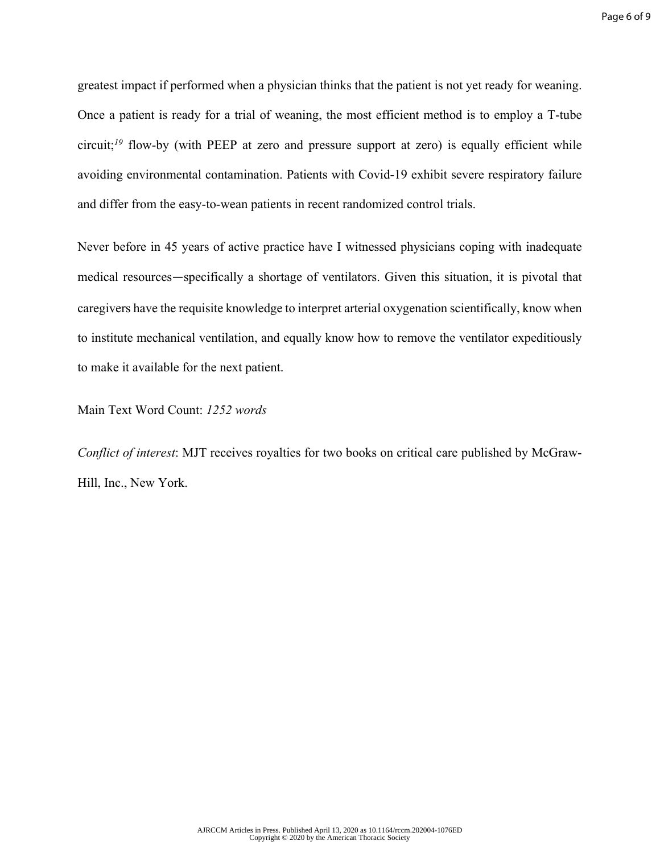greatest impact if performed when a physician thinks that the patient is not yet ready for weaning. Once a patient is ready for a trial of weaning, the most efficient method is to employ a T-tube circuit;<sup>19</sup> flow-by (with PEEP at zero and pressure support at zero) is equally efficient while avoiding environmental contamination. Patients with Covid-19 exhibit severe respiratory failure and differ from the easy-to-wean patients in recent randomized control trials.

Never before in 45 years of active practice have I witnessed physicians coping with inadequate medical resources—specifically a shortage of ventilators. Given this situation, it is pivotal that caregivers have the requisite knowledge to interpret arterial oxygenation scientifically, know when to institute mechanical ventilation, and equally know how to remove the ventilator expeditiously to make it available for the next patient.

Main Text Word Count: *1252 words*

*Conflict of interest*: MJT receives royalties for two books on critical care published by McGraw-Hill, Inc., New York.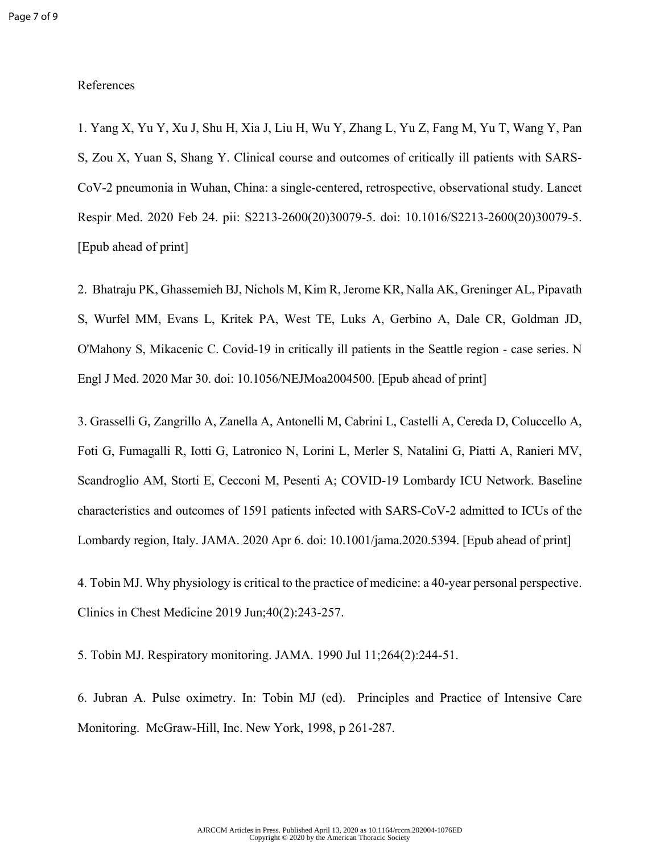## References

1. Yang X, Yu Y, Xu J, Shu H, Xia J, Liu H, Wu Y, Zhang L, Yu Z, Fang M, Yu T, Wang Y, Pan S, Zou X, Yuan S, Shang Y. Clinical course and outcomes of critically ill patients with SARS-CoV-2 pneumonia in Wuhan, China: a single-centered, retrospective, observational study. Lancet Respir Med. 2020 Feb 24. pii: S2213-2600(20)30079-5. doi: 10.1016/S2213-2600(20)30079-5. [Epub ahead of print]

2. Bhatraju PK, Ghassemieh BJ, Nichols M, Kim R, Jerome KR, Nalla AK, Greninger AL, Pipavath S, Wurfel MM, Evans L, Kritek PA, West TE, Luks A, Gerbino A, Dale CR, Goldman JD, O'Mahony S, Mikacenic C. Covid-19 in critically ill patients in the Seattle region - case series. N Engl J Med. 2020 Mar 30. doi: 10.1056/NEJMoa2004500. [Epub ahead of print]

3. Grasselli G, Zangrillo A, Zanella A, Antonelli M, Cabrini L, Castelli A, Cereda D, Coluccello A, Foti G, Fumagalli R, Iotti G, Latronico N, Lorini L, Merler S, Natalini G, Piatti A, Ranieri MV, Scandroglio AM, Storti E, Cecconi M, Pesenti A; COVID-19 Lombardy ICU Network. Baseline characteristics and outcomes of 1591 patients infected with SARS-CoV-2 admitted to ICUs of the Lombardy region, Italy. JAMA. 2020 Apr 6. doi: 10.1001/jama.2020.5394. [Epub ahead of print]

4. Tobin MJ. Why physiology is critical to the practice of medicine: a 40-year personal perspective. Clinics in Chest Medicine 2019 Jun;40(2):243-257.

5. Tobin MJ. Respiratory monitoring. JAMA. 1990 Jul 11;264(2):244-51.

6. Jubran A. Pulse oximetry. In: Tobin MJ (ed). Principles and Practice of Intensive Care Monitoring. McGraw-Hill, Inc. New York, 1998, p 261-287.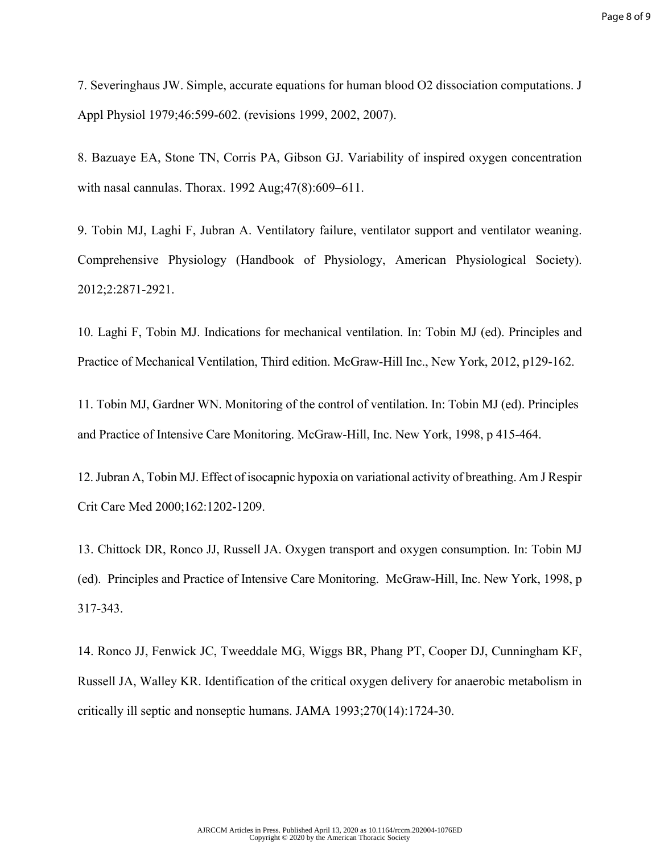7. Severinghaus JW. Simple, accurate equations for human blood O2 dissociation computations. J Appl Physiol 1979;46:599-602. (revisions 1999, 2002, 2007).

8. Bazuaye EA, Stone TN, Corris PA, Gibson GJ. Variability of inspired oxygen concentration with nasal cannulas. Thorax. 1992 Aug;47(8):609–611.

9. Tobin MJ, Laghi F, Jubran A. Ventilatory failure, ventilator support and ventilator weaning. Comprehensive Physiology (Handbook of Physiology, American Physiological Society). 2012;2:2871-2921.

10. Laghi F, Tobin MJ. Indications for mechanical ventilation. In: Tobin MJ (ed). Principles and Practice of Mechanical Ventilation, Third edition. McGraw-Hill Inc., New York, 2012, p129-162.

11. Tobin MJ, Gardner WN. Monitoring of the control of ventilation. In: Tobin MJ (ed). Principles and Practice of Intensive Care Monitoring. McGraw-Hill, Inc. New York, 1998, p 415-464.

12. Jubran A, Tobin MJ. Effect of isocapnic hypoxia on variational activity of breathing. Am J Respir Crit Care Med 2000;162:1202-1209.

13. Chittock DR, Ronco JJ, Russell JA. Oxygen transport and oxygen consumption. In: Tobin MJ (ed). Principles and Practice of Intensive Care Monitoring. McGraw-Hill, Inc. New York, 1998, p 317-343.

14. Ronco JJ, Fenwick JC, Tweeddale MG, Wiggs BR, Phang PT, Cooper DJ, Cunningham KF, Russell JA, Walley KR. Identification of the critical oxygen delivery for anaerobic metabolism in critically ill septic and nonseptic humans. JAMA 1993;270(14):1724-30.